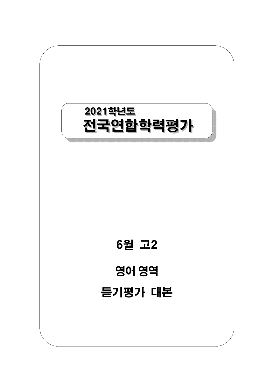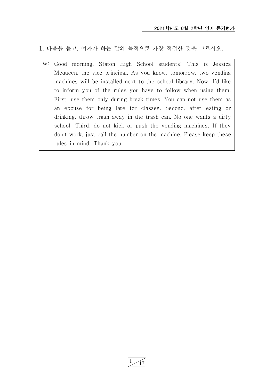1. 다음을 듣고, 여자가 하는 말의 목적으로 가장 적절한 것을 고르시오.

W: Good morning, Staton High School students! This is Jessica Mcqueen, the vice principal. As you know, tomorrow, two vending machines will be installed next to the school library. Now, I'd like to inform you of the rules you have to follow when using them. First, use them only during break times. You can not use them as an excuse for being late for classes. Second, after eating or drinking, throw trash away in the trash can. No one wants a dirty school. Third, do not kick or push the vending machines. If they don't work, just call the number on the machine. Please keep these rules in mind. Thank you.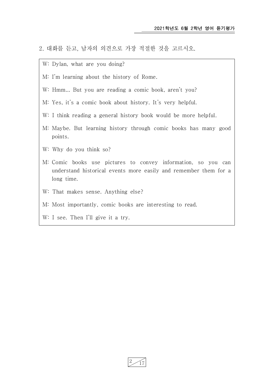- 2. 대화를 듣고, 남자의 의견으로 가장 적절한 것을 고르시오.
	- W: Dylan, what are you doing?
	- M: I'm learning about the history of Rome.
	- W: Hmm... But you are reading a comic book, aren't you?
	- M: Yes, it's a comic book about history. It's very helpful.
	- W: I think reading a general history book would be more helpful.
	- M: Maybe. But learning history through comic books has many good points.
	- W: Why do you think so?
	- M: Comic books use pictures to convey information, so you can understand historical events more easily and remember them for a long time.
	- W: That makes sense. Anything else?
	- M: Most importantly, comic books are interesting to read.
	- W: I see. Then I'll give it a try.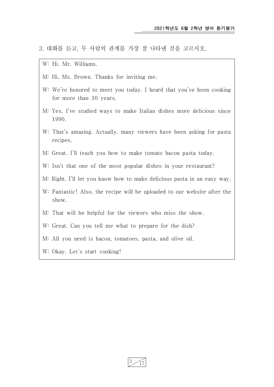3. 대화를 듣고, 두 사람의 관계를 가장 잘 나타낸 것을 고르시오.

W: Hi, Mr. Williams.

- M: Hi, Ms. Brown. Thanks for inviting me.
- W: We're honored to meet you today. I heard that you've been cooking for more than 30 years.
- M: Yes. I've studied ways to make Italian dishes more delicious since 1990.
- W: That's amazing. Actually, many viewers have been asking for pasta recipes.
- M: Great. I'll teach you how to make tomato bacon pasta today.
- W: Isn't that one of the most popular dishes in your restaurant?
- M: Right. I'll let you know how to make delicious pasta in an easy way.
- W: Fantastic! Also, the recipe will be uploaded to our website after the show.
- M: That will be helpful for the viewers who miss the show.
- W: Great. Can you tell me what to prepare for the dish?
- M: All you need is bacon, tomatoes, pasta, and olive oil.
- W: Okay. Let's start cooking!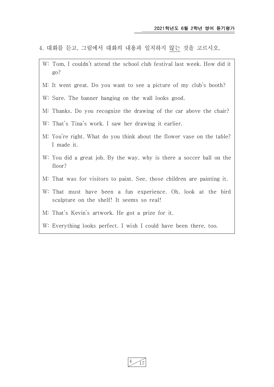- 4. 대화를 듣고, 그림에서 대화의 내용과 일치하지 않는 것을 고르시오.
- W: Tom, I couldn't attend the school club festival last week. How did it go?
- M: It went great. Do you want to see a picture of my club's booth?
- W: Sure. The banner hanging on the wall looks good.
- M: Thanks. Do you recognize the drawing of the car above the chair?
- W: That's Tina's work. I saw her drawing it earlier.
- M: You're right. What do you think about the flower vase on the table? I made it.
- W: You did a great job. By the way, why is there a soccer ball on the floor?
- M: That was for visitors to paint. See, those children are painting it.
- W: That must have been a fun experience. Oh, look at the bird sculpture on the shelf! It seems so real!
- M: That's Kevin's artwork. He got a prize for it.
- W: Everything looks perfect. I wish I could have been there, too.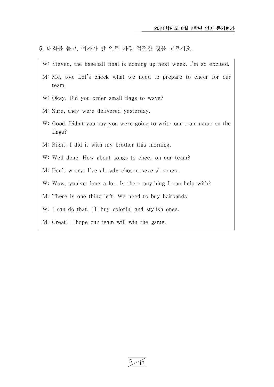- 5. 대화를 듣고, 여자가 할 일로 가장 적절한 것을 고르시오.
- W: Steven, the baseball final is coming up next week. I'm so excited. M: Me, too. Let's check what we need to prepare to cheer for our team. W: Okay. Did you order small flags to wave? M: Sure, they were delivered yesterday. W: Good. Didn't you say you were going to write our team name on the flags? M: Right, I did it with my brother this morning. W: Well done. How about songs to cheer on our team? M: Don't worry. I've already chosen several songs. W: Wow, you've done a lot. Is there anything I can help with? M: There is one thing left. We need to buy hairbands. W: I can do that. I'll buy colorful and stylish ones. M: Great! I hope our team will win the game.

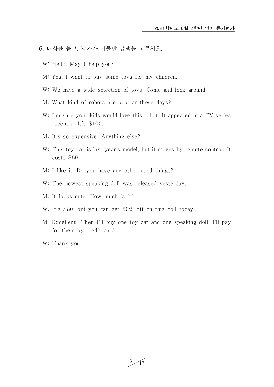6. 대화를 듣고, 남자가 지불할 금액을 고르시오.

- W: Hello. May I help you?
- M: Yes. I want to buy some toys for my children.
- W: We have a wide selection of toys. Come and look around.
- M: What kind of robots are popular these days?
- W: I'm sure your kids would love this robot. It appeared in a TV series recently. It's \$100.
- M: It's so expensive. Anything else?
- W: This toy car is last year's model, but it moves by remote control. It costs \$60.
- M: I like it. Do you have any other good things?
- W: The newest speaking doll was released yesterday.
- M: It looks cute. How much is it?
- W: It's \$80, but you can get 50% off on this doll today.
- M: Excellent! Then I'll buy one toy car and one speaking doll. I'll pay for them by credit card.
- W: Thank you.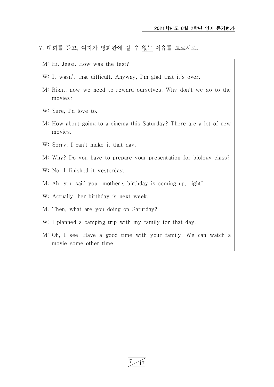- 7. 대화를 듣고, 여자가 영화관에 갈 수 없는 이유를 고르시오.
	- M: Hi, Jessi. How was the test?
	- W: It wasn't that difficult. Anyway, I'm glad that it's over.
	- M: Right, now we need to reward ourselves. Why don't we go to the movies?
	- W: Sure, I'd love to.
	- M: How about going to a cinema this Saturday? There are a lot of new movies.
	- W: Sorry, I can't make it that day.
	- M: Why? Do you have to prepare your presentation for biology class?
	- W: No, I finished it yesterday.
	- M: Ah, you said your mother's birthday is coming up, right?
	- W: Actually, her birthday is next week.
	- M: Then, what are you doing on Saturday?
	- W: I planned a camping trip with my family for that day.
	- M: Oh, I see. Have a good time with your family. We can watch a movie some other time.

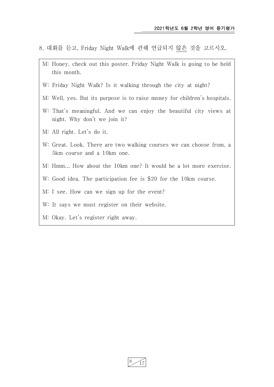- 8. 대화를 듣고, Friday Night Walk에 관해 언급되지 않은 것을 고르시오.
- M: Honey, check out this poster. Friday Night Walk is going to be held this month.
- W: Friday Night Walk? Is it walking through the city at night?
- M: Well, yes. But its purpose is to raise money for children's hospitals.
- W: That's meaningful. And we can enjoy the beautiful city views at night. Why don't we join it?
- M: All right. Let's do it.
- W: Great. Look. There are two walking courses we can choose from, a 5km course and a 10km one.
- M: Hmm... How about the 10km one? It would be a lot more exercise.
- W: Good idea. The participation fee is \$20 for the 10km course.
- M: I see. How can we sign up for the event?
- W: It says we must register on their website.
- M: Okay. Let's register right away.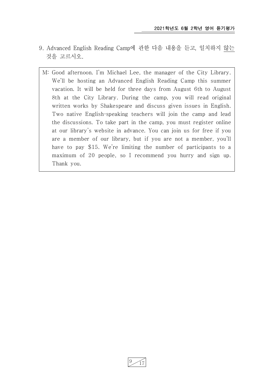- 9. Advanced English Reading Camp에 관한 다음 내용을 듣고, 일치하지 않는 것을 고르시오.
- M: Good afternoon. I'm Michael Lee, the manager of the City Library. We'll be hosting an Advanced English Reading Camp this summer vacation. It will be held for three days from August 6th to August 8th at the City Library. During the camp, you will read original written works by Shakespeare and discuss given issues in English. Two native English-speaking teachers will join the camp and lead the discussions. To take part in the camp, you must register online at our library's website in advance. You can join us for free if you are a member of our library, but if you are not a member, you'll have to pay \$15. We're limiting the number of participants to a maximum of 20 people, so I recommend you hurry and sign up. Thank you.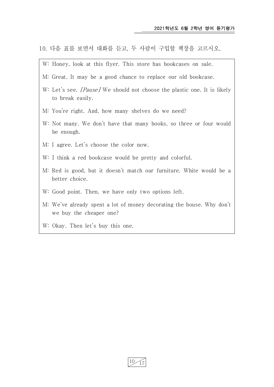- 10. 다음 표를 보면서 대화를 듣고, 두 사람이 구입할 책장을 고르시오.
- W: Honey, look at this flyer. This store has bookcases on sale.
- M: Great. It may be a good chance to replace our old bookcase.
- W: Let's see. *[Pause]* We should not choose the plastic one. It is likely to break easily.
- M: You're right. And, how many shelves do we need?
- W: Not many. We don't have that many books, so three or four would be enough.
- M: I agree. Let's choose the color now.
- W: I think a red bookcase would be pretty and colorful.
- M: Red is good, but it doesn't match our furniture. White would be a better choice.
- W: Good point. Then, we have only two options left.
- M: We've already spent a lot of money decorating the house. Why don't we buy the cheaper one?
- W: Okay. Then let's buy this one.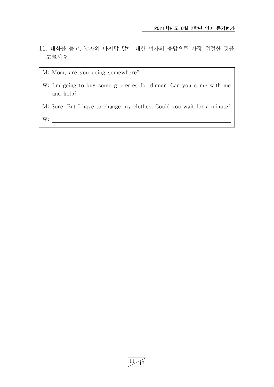- 11. 대화를 듣고, 남자의 마지막 말에 대한 여자의 응답으로 가장 적절한 것을 고르시오.
	- M: Mom, are you going somewhere?

- W: I'm going to buy some groceries for dinner. Can you come with me and help?
- M: Sure. But I have to change my clothes. Could you wait for a minute?

W: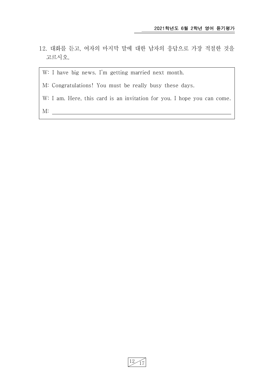12. 대화를 듣고, 여자의 마지막 말에 대한 남자의 응답으로 가장 적절한 것을 고르시오.

W: I have big news. I'm getting married next month.

M: Congratulations! You must be really busy these days.

W: I am. Here, this card is an invitation for you. I hope you can come.

M: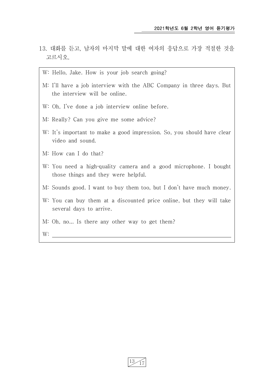- 13. 대화를 듣고, 남자의 마지막 말에 대한 여자의 응답으로 가장 적절한 것을 고르시오.
	- W: Hello, Jake. How is your job search going?
- M: I'll have a job interview with the ABC Company in three days. But the interview will be online.
- W: Oh, I've done a job interview online before.
- M: Really? Can you give me some advice?
- W: It's important to make a good impression. So, you should have clear video and sound.
- M: How can I do that?
- W: You need a high-quality camera and a good microphone. I bought those things and they were helpful.
- M: Sounds good. I want to buy them too, but I don't have much money.
- W: You can buy them at a discounted price online, but they will take several days to arrive.
- M: Oh, no... Is there any other way to get them?
- W: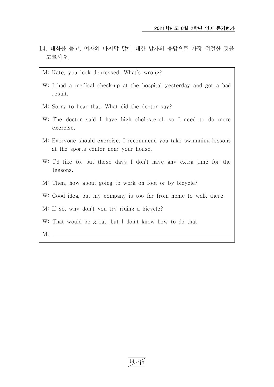- 14. 대화를 듣고, 여자의 마지막 말에 대한 남자의 응답으로 가장 적절한 것을 고르시오.
	- M: Kate, you look depressed. What's wrong?
	- W: I had a medical check-up at the hospital yesterday and got a bad result.
	- M: Sorry to hear that. What did the doctor say?
	- W: The doctor said I have high cholesterol, so I need to do more exercise.
	- M: Everyone should exercise. I recommend you take swimming lessons at the sports center near your house.
	- W: I'd like to, but these days I don't have any extra time for the lessons.
	- M: Then, how about going to work on foot or by bicycle?
	- W: Good idea, but my company is too far from home to walk there.
	- M: If so, why don't you try riding a bicycle?
	- W: That would be great, but I don't know how to do that.

 $M:$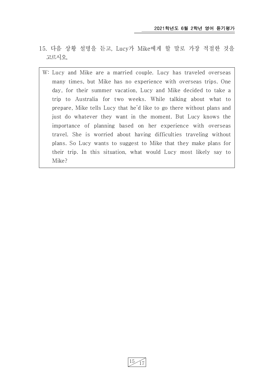- 15. 다음 상황 설명을 듣고, Lucy가 Mike에게 할 말로 가장 적절한 것을 고르시오.
	- W: Lucy and Mike are a married couple. Lucy has traveled overseas many times, but Mike has no experience with overseas trips. One day, for their summer vacation, Lucy and Mike decided to take a trip to Australia for two weeks. While talking about what to prepare, Mike tells Lucy that he'd like to go there without plans and just do whatever they want in the moment. But Lucy knows the importance of planning based on her experience with overseas travel. She is worried about having difficulties traveling without plans. So Lucy wants to suggest to Mike that they make plans for their trip. In this situation, what would Lucy most likely say to Mike?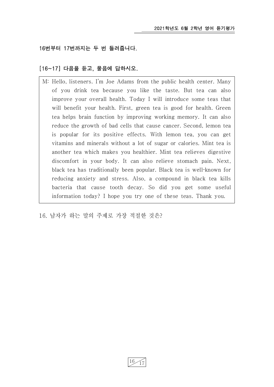## 16번부터 17번까지는 두 번 들려줍니다.

## [16~17] 다음을 듣고, 물음에 답하시오.

M: Hello, listeners. I'm Joe Adams from the public health center. Many of you drink tea because you like the taste. But tea can also improve your overall health. Today I will introduce some teas that will benefit your health. First, green tea is good for health. Green tea helps brain function by improving working memory. It can also reduce the growth of bad cells that cause cancer. Second, lemon tea is popular for its positive effects. With lemon tea, you can get vitamins and minerals without a lot of sugar or calories. Mint tea is another tea which makes you healthier. Mint tea relieves digestive discomfort in your body. It can also relieve stomach pain. Next, black tea has traditionally been popular. Black tea is well-known for reducing anxiety and stress. Also, a compound in black tea kills bacteria that cause tooth decay. So did you get some useful information today? I hope you try one of these teas. Thank you.

## 16. 남자가 하는 말의 주제로 가장 적절한 것은?